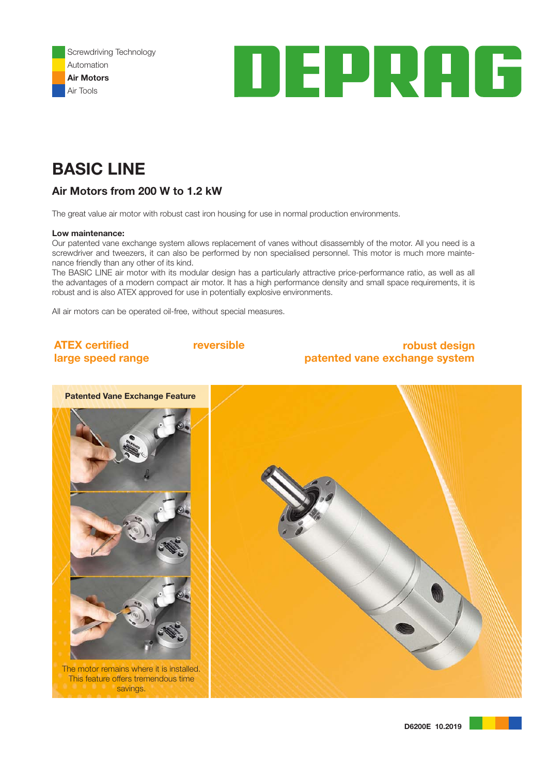



# BASIC LINE

### Air Motors from 200 W to 1.2 kW

The great value air motor with robust cast iron housing for use in normal production environments.

#### Low maintenance:

Our patented vane exchange system allows replacement of vanes without disassembly of the motor. All you need is a screwdriver and tweezers, it can also be performed by non specialised personnel. This motor is much more maintenance friendly than any other of its kind.

The BASIC LINE air motor with its modular design has a particularly attractive price-performance ratio, as well as all the advantages of a modern compact air motor. It has a high performance density and small space requirements, it is robust and is also ATEX approved for use in potentially explosive environments.

All air motors can be operated oil-free, without special measures.

### ATEX certified reversible reversible robust design large speed range patented vane exchange system

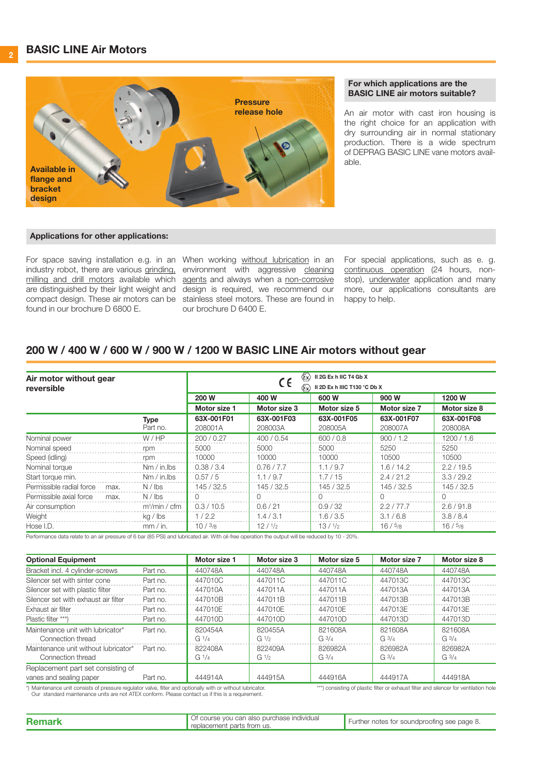## 2 BASIC LINE Air Motors **Execute 2 and 2** BASIC LINE Air Motors



#### For which applications are the BASIC LINE air motors suitable?

An air motor with cast iron housing is the right choice for an application with dry surrounding air in normal stationary production. There is a wide spectrum of DEPRAG BASIC LINE vane motors available.

#### Applications for other applications:

For space saving installation e.g. in an When working without lubrication in an industry robot, there are various grinding, environment with aggressive cleaning milling and drill motors available which agents and always when a non-corrosive are distinguished by their light weight and design is required, we recommend our compact design. These air motors can be stainless steel motors. These are found in found in our brochure D 6800 E.

our brochure D 6400 E.

For special applications, such as e. g. continuous operation (24 hours, nonstop), underwater application and many more, our applications consultants are happy to help.

### 200 W / 400 W / 600 W / 900 W / 1200 W BASIC LINE Air motors without gear

| Air motor without gear<br>reversible |      |                         | II 2G Ex h IIC T4 Gb X<br>$\langle \xi \chi \rangle$<br>C€<br>II 2D Ex h IIIC T130 °C Db X<br>$\langle \xi_{\rm X} \rangle$ |                       |                       |                       |                       |  |  |
|--------------------------------------|------|-------------------------|-----------------------------------------------------------------------------------------------------------------------------|-----------------------|-----------------------|-----------------------|-----------------------|--|--|
|                                      |      |                         | 200 W                                                                                                                       | 400 W                 | 600 W                 | 900 W                 | 1200 W                |  |  |
|                                      |      |                         | Motor size 1                                                                                                                | Motor size 3          | Motor size 5          | Motor size 7          | Motor size 8          |  |  |
|                                      |      | <b>Type</b><br>Part no. | 63X-001F01<br>208001A                                                                                                       | 63X-001F03<br>208003A | 63X-001F05<br>208005A | 63X-001F07<br>208007A | 63X-001F08<br>208008A |  |  |
| Nominal power                        |      | W / HP                  | 200/0.27                                                                                                                    | 400/0.54              | 600 / 0.8             | 900 / 1.2             | 1200 / 1.6            |  |  |
| Nominal speed                        |      | rpm                     | 5000                                                                                                                        | 5000                  | 5000                  | 5250                  | 5250                  |  |  |
| Speed (idling)                       |      | rpm                     | 10000                                                                                                                       | 10000                 | 10000                 | 10500                 | 10500                 |  |  |
| Nominal torque                       |      | $Nm / in.$ lbs          | 0.38 / 3.4                                                                                                                  | 0.76 / 7.7            | 1.1/9.7               | 1.6/14.2              | 2.2 / 19.5            |  |  |
| Start torque min.                    |      | Nm / in lbs             | 0.57/5                                                                                                                      | 1.1/9.7               | 1.7/15                | 2.4/21.2              | 3.3/29.2              |  |  |
| Permissible radial force             | max. | $N /$ lbs               | 145 / 32.5                                                                                                                  | 145/32.5              | 145/32.5              | 145/32.5              | 145/32.5              |  |  |
| Permissible axial force              | max. | $N /$ lbs               | 0                                                                                                                           | 0                     |                       | $\Omega$              | $\Omega$              |  |  |
| Air consumption                      |      | $m^3/m$ in / cfm        | 0.3/10.5                                                                                                                    | 0.6/21                | 0.9/32                | 2.2/77.7              | 2.6/91.8              |  |  |
| Weight                               |      | $kq$ / $lbs$            | 1/2.2                                                                                                                       | 1.4/3.1               | 1.6/3.5               | 3.1/6.8               | 3.8 / 8.4             |  |  |
| Hose I.D.                            |      | mm / in.                | 10/3/8                                                                                                                      | 12/1/2                | 13/1/2                | 16/5/8                | 16/5/8                |  |  |

Performance data relate to an air pressure of 6 bar (85 PSI) and lubricated air. With oil-free operation the output will be reduced by 10 - 20%.

| <b>Optional Equipment</b>                                     |          | Motor size 1                 | Motor size 3                | Motor size 5                 | Motor size 7                 | Motor size 8                 |
|---------------------------------------------------------------|----------|------------------------------|-----------------------------|------------------------------|------------------------------|------------------------------|
| Bracket incl. 4 cylinder-screws                               | Part no. | 440748A                      | 440748A                     | 440748A                      | 440748A                      | 440748A                      |
| Silencer set with sinter cone                                 | Part no. | 447010C                      | 447011C                     | 447011C                      | 447013C                      | 447013C                      |
| Silencer set with plastic filter                              | Part no. | 447010A                      | 447011A                     | 447011A                      | 447013A                      | 447013A                      |
| Silencer set with exhaust air filter                          | Part no. | 447010B                      | 447011B                     | 447011B                      | 447013B                      | 447013B                      |
| Exhaust air filter                                            | Part no. | 447010E                      | 447010E                     | 447010E                      | 447013E                      | 447013E                      |
| Plastic filter ***)                                           | Part no. | 447010D                      | 447010D                     | 447010D                      | 447013D                      | 447013D                      |
| Maintenance unit with lubricator*<br>Connection thread        | Part no. | 820454A<br>G <sup>1</sup> /4 | 820455A<br>G <sup>1/2</sup> | 821608A<br>$G_3/4$           | 821608A<br>$G_3/4$           | 821608A<br>$G_3/4$           |
| Maintenance unit without lubricator*<br>Connection thread     | Part no. | 822408A<br>G <sup>1/4</sup>  | 822409A<br>G <sup>1/2</sup> | 826982A<br>G <sup>3</sup> /4 | 826982A<br>G <sup>3</sup> /4 | 826982A<br>G <sup>3</sup> /4 |
| Replacement part set consisting of<br>vanes and sealing paper | Part no. | 444914A                      | 444915A                     | 444916A                      | 444917A                      | 444918A                      |

\*) Maintenance unit consists of pressure regulator valve, filter and optionally with or without lubricator. Our standard maintenance units are not ATEX conform. Please contact us if this is a requirement.

\*\*\*) consisting of plastic filter or exhaust filter and silencer for ventilation hole

| Remark | Of course you can also purchase individual<br>replacement parts from us. | Further notes for soundproofing see page 8. |
|--------|--------------------------------------------------------------------------|---------------------------------------------|
|        |                                                                          |                                             |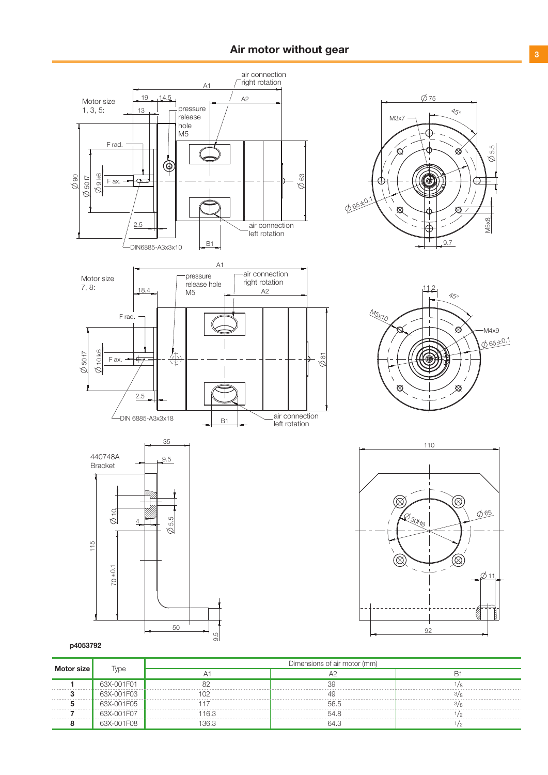

| <b>Type</b><br>lor size |            |       | Dimensions of air motor (mm) |  |
|-------------------------|------------|-------|------------------------------|--|
|                         |            |       |                              |  |
|                         | 63X-001F01 |       |                              |  |
|                         | 63X-001F03 |       |                              |  |
|                         | 63X-001F05 |       | 56.5                         |  |
|                         | 63X-001F07 | 116.3 | 548                          |  |
|                         | 63X-001F08 | 36.3  | 64.3                         |  |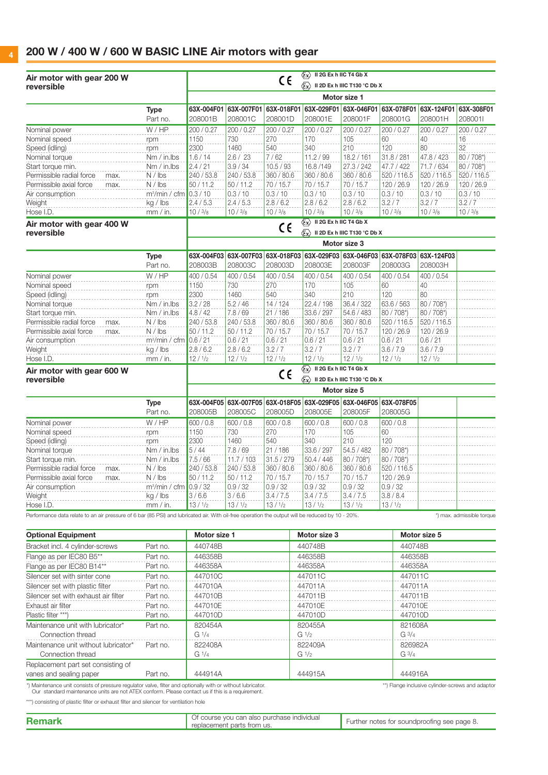# $4$  200 W / 400 W / 600 W BASIC LINE Air motors with gear

| Air motor with gear 200 W                                                                                                                        |                           |                       | C€                                                        | $\langle \xi_X \rangle$ II 2G Ex h IIC T4 Gb X |                                                                 |                                                                 |                       |                       |                           |  |  |
|--------------------------------------------------------------------------------------------------------------------------------------------------|---------------------------|-----------------------|-----------------------------------------------------------|------------------------------------------------|-----------------------------------------------------------------|-----------------------------------------------------------------|-----------------------|-----------------------|---------------------------|--|--|
| reversible                                                                                                                                       |                           |                       |                                                           |                                                | $\langle \overline{\xi_X} \rangle$ II 2D Ex h IIIC T130 °C Db X |                                                                 |                       |                       |                           |  |  |
|                                                                                                                                                  |                           |                       |                                                           |                                                |                                                                 | Motor size 1                                                    |                       |                       |                           |  |  |
|                                                                                                                                                  | <b>Type</b><br>Part no.   | 63X-004F01<br>208001B | 63X-007F01 63X-018F01<br>208001C                          | 208001D                                        | 63X-029F01<br>208001E                                           | 63X-046F01<br>208001F                                           | 63X-078F01<br>208001G | 63X-124F01<br>208001H | 63X-308F01<br>2080011     |  |  |
| Nominal power                                                                                                                                    | W/HP                      | 200 / 0.27            | 200 / 0.27                                                | 200 / 0.27                                     | 200 / 0.27                                                      | 200 / 0.27                                                      | 200 / 0.27            | 200 / 0.27            | 200 / 0.27                |  |  |
| Nominal speed                                                                                                                                    | rpm                       | 1150                  | 730                                                       | 270                                            | 170                                                             | 105                                                             | 60                    | 40                    | 16                        |  |  |
| Speed (idling)                                                                                                                                   | rpm                       | 2300                  | 1460                                                      | 540                                            | 340                                                             | 210                                                             | 120                   | 80                    | 32                        |  |  |
| Nominal torque                                                                                                                                   | Nm / in.lbs               | 1.6/14                | 2.6 / 23                                                  | 7/62                                           | 11.2 / 99                                                       | 18.2 / 161                                                      | 31.8 / 281            | 47.8 / 423            | 80 / 708*)                |  |  |
| Start torque min.                                                                                                                                | Nm / in.lbs               | 2.4 / 21              | 3.9 / 34                                                  | 10.5 / 93                                      | 16.8/149                                                        | 27.3 / 242                                                      | 47.7 / 422            | 71.7 / 634            | 80 / 708*)                |  |  |
| Permissible radial force<br>max.                                                                                                                 | $N /$ lbs                 | 240 / 53.8            | 240 / 53.8                                                | 360 / 80.6                                     | 360 / 80.6                                                      | 360 / 80.6                                                      | 520/116.5             | 520/116.5             | 520/116.5                 |  |  |
| Permissible axial force<br>max.                                                                                                                  | $N /$ lbs                 | 50/11.2               | 50/11.2                                                   | 70/15.7                                        | 70/15.7                                                         | 70 / 15.7                                                       | 120 / 26.9            | 120 / 26.9            | 120 / 26.9                |  |  |
| Air consumption                                                                                                                                  | m <sup>3</sup> /min / cfm | 0.3 / 10              | 0.3 / 10                                                  | 0.3 / 10                                       | 0.3 / 10                                                        | 0.3 / 10                                                        | 0.3 / 10              | 0.3 / 10              | 0.3 / 10                  |  |  |
| Weight                                                                                                                                           | kg / lbs                  | 2.4 / 5.3             | 2.4 / 5.3                                                 | 2.8/6.2                                        | 2.8/6.2                                                         | 2.8/6.2                                                         | 3.2 / 7               | 3.2/7                 | 3.2 / 7                   |  |  |
| Hose I.D.                                                                                                                                        | mm / in.                  | 10/3/s                | 10/3/8                                                    | 10/3/s                                         | 10/3/8                                                          | 10/3/8                                                          | 10/3/s                | 10/3/s                | 10/3/8                    |  |  |
| Air motor with gear 400 W                                                                                                                        |                           |                       | $\langle \overline{\xi} x \rangle$ II 2G Ex h IIC T4 Gb X |                                                |                                                                 |                                                                 |                       |                       |                           |  |  |
| reversible                                                                                                                                       |                           |                       |                                                           | c٤                                             |                                                                 | $\langle \overline{\xi_X} \rangle$ II 2D Ex h IIIC T130 °C Db X |                       |                       |                           |  |  |
|                                                                                                                                                  |                           |                       |                                                           |                                                |                                                                 | Motor size 3                                                    |                       |                       |                           |  |  |
|                                                                                                                                                  | <b>Type</b>               |                       | 63X-004F03 63X-007F03                                     | 63X-018F03                                     | 63X-029F03                                                      | 63X-046F03                                                      | 63X-078F03            | 63X-124F03            |                           |  |  |
|                                                                                                                                                  | Part no.                  | 208003B               | 208003C                                                   | 208003D                                        | 208003E                                                         | 208003F                                                         | 208003G               | 208003H               |                           |  |  |
| Nominal power                                                                                                                                    | W/HP                      | 400 / 0.54            | 400 / 0.54                                                | 400 / 0.54                                     | 400 / 0.54                                                      | 400 / 0.54                                                      | 400 / 0.54            | 400 / 0.54            |                           |  |  |
| Nominal speed                                                                                                                                    | rpm                       | 1150                  | 730                                                       | 270                                            | 170                                                             | 105                                                             | 60                    | 40                    |                           |  |  |
| Speed (idling)                                                                                                                                   | rpm                       | 2300                  | 1460                                                      | 540                                            | 340                                                             | 210                                                             | 120                   | 80                    |                           |  |  |
| Nominal torque                                                                                                                                   | Nm / in.lbs               | 3.2 / 28              | 5.2/46                                                    | 14/124                                         | 22.4 / 198                                                      | 36.4 / 322                                                      | 63.6 / 563            | 80 / 708*)            |                           |  |  |
| Start torque min.                                                                                                                                | Nm / in.lbs               | 4.8 / 42              | 7.8 / 69                                                  | 21/186                                         | 33.6 / 297                                                      | 54.6 / 483                                                      | 80 / 708*)            | 80 / 708*)            |                           |  |  |
| Permissible radial force<br>max.                                                                                                                 | $N /$ lbs                 | 240 / 53.8            | 240 / 53.8                                                | 360/80.6                                       | 360 / 80.6                                                      | 360 / 80.6                                                      | 520/116.5             | 520/116.5             |                           |  |  |
| Permissible axial force<br>max.                                                                                                                  | $N /$ lbs                 | 50/11.2               | 50/11.2                                                   | 70 / 15.7                                      | 70/15.7                                                         | 70/15.7                                                         | 120 / 26.9            | 120 / 26.9            |                           |  |  |
| Air consumption                                                                                                                                  | m <sup>3</sup> /min / cfm | 0.6 / 21              | 0.6 / 21                                                  | 0.6 / 21                                       | 0.6 / 21                                                        | 0.6 / 21                                                        | 0.6 / 21              | 0.6 / 21              |                           |  |  |
| Weight                                                                                                                                           | kg / lbs                  | 2.8/6.2               | 2.8/6.2                                                   | 3.2 / 7                                        | 3.2/7                                                           | 3.2/7                                                           | 3.6 / 7.9             | 3.6/7.9               |                           |  |  |
| Hose I.D.                                                                                                                                        | mm / in.                  | 12/1/2                | 12/1/2                                                    | $12 / \frac{1}{2}$                             | $12 / \frac{1}{2}$                                              | 12/1/2                                                          | 12/1/2                | 12/1/2                |                           |  |  |
| Air motor with gear 600 W                                                                                                                        |                           |                       |                                                           | C€                                             | $\langle \overline{\xi} x \rangle$ II 2G Ex h IIC T4 Gb X       |                                                                 |                       |                       |                           |  |  |
| reversible                                                                                                                                       |                           |                       |                                                           |                                                | $\langle \overline{\epsilon}_\mathbf{x} \rangle$                | II 2D Ex h IIIC T130 °C Db X                                    |                       |                       |                           |  |  |
|                                                                                                                                                  |                           |                       |                                                           |                                                |                                                                 | Motor size 5                                                    |                       |                       |                           |  |  |
|                                                                                                                                                  | Type<br>Part no.          | 208005B               | 63X-004F05 63X-007F05 63X-018F05<br>208005C               | 208005D                                        | 208005E                                                         | 63X-029F05 63X-046F05<br>208005F                                | 63X-078F05<br>208005G |                       |                           |  |  |
|                                                                                                                                                  | W / HP                    | 600 / 0.8             | 600 / 0.8                                                 | 600 / 0.8                                      | 600 / 0.8                                                       | 600 / 0.8                                                       | 600 / 0.8             |                       |                           |  |  |
| Nominal power<br>Nominal speed                                                                                                                   |                           | 1150                  | 730                                                       | 270                                            | 170                                                             | 105                                                             | 60                    |                       |                           |  |  |
| Speed (idling)                                                                                                                                   | rpm                       | 2300                  | 1460                                                      | 540                                            | 340                                                             | 210                                                             | 120                   |                       |                           |  |  |
| Nominal torque                                                                                                                                   | rpm<br>Nm / in.lbs        | 5/44                  | 7.8 / 69                                                  | 21/186                                         | 33.6 / 297                                                      | 54.5 / 482                                                      | 80 / 708*)            |                       |                           |  |  |
| Start torque min.                                                                                                                                | Nm / in.lbs               | 7.5/66                | 11.7 / 103                                                | 31.5 / 279                                     | 50.4 / 446                                                      | 80 / 708*)                                                      | 80 / 708*)            |                       |                           |  |  |
| Permissible radial force<br>max.                                                                                                                 | $N /$ lbs                 | 240 / 53.8            | 240 / 53.8                                                | 360 / 80.6                                     | 360 / 80.6                                                      | 360 / 80.6                                                      | 520/116.5             |                       |                           |  |  |
| Permissible axial force<br>max.                                                                                                                  | $N /$ lbs                 | 50/11.2               | 50/11.2                                                   | 70/15.7                                        | 70/15.7                                                         | 70/15.7                                                         | 120 / 26.9            |                       |                           |  |  |
| Air consumption                                                                                                                                  | $m3/min / cfm$ 0.9 / 32   |                       | 0.9 / 32                                                  | 0.9 / 32                                       | 0.9 / 32                                                        | 0.9 / 32                                                        | 0.9 / 32              |                       |                           |  |  |
| Weight                                                                                                                                           | kg / lbs                  | 3/6.6                 | 3/6.6                                                     | 3.4 / 7.5                                      | 3.4/7.5                                                         | 3.4 / 7.5                                                       | 3.8 / 8.4             |                       |                           |  |  |
| Hose I.D.                                                                                                                                        | mm / in.                  | 13/1/2                | 13/1/2                                                    | 13/1/2                                         | 13/1/2                                                          | 13/1/2                                                          | 13/1/2                |                       |                           |  |  |
| Performance data relate to an air pressure of 6 bar (85 PSI) and lubricated air. With oil-free operation the output will be reduced by 10 - 20%. |                           |                       |                                                           |                                                |                                                                 |                                                                 |                       |                       | *) max. admissible torque |  |  |
|                                                                                                                                                  |                           |                       |                                                           |                                                |                                                                 |                                                                 |                       |                       |                           |  |  |
| <b>Optional Equipment</b>                                                                                                                        |                           | Motor size 1          |                                                           |                                                | Motor size 3                                                    |                                                                 |                       | Motor size 5          |                           |  |  |
| Bracket incl. 4 cylinder-screws                                                                                                                  | Part no.                  | 440748B               |                                                           |                                                | 440748B                                                         |                                                                 | 440748B               |                       |                           |  |  |
| Flange as per IEC80 B5**                                                                                                                         | Part no.                  | 446358B               |                                                           |                                                | 446358B                                                         |                                                                 | 446358B               |                       |                           |  |  |
| Flange as per IEC80 B14**                                                                                                                        | Part no.                  | 446358A               |                                                           |                                                | 446358A                                                         |                                                                 | 446358A               |                       |                           |  |  |
| Silencer set with sinter cone                                                                                                                    | Part no.                  | 447010C               |                                                           |                                                | 447011C                                                         |                                                                 | 447011C               |                       |                           |  |  |
| Silencer set with plastic filter                                                                                                                 | Part no.                  | 447010A               |                                                           |                                                | 447011A                                                         |                                                                 | 447011A               |                       |                           |  |  |
| Silencer set with exhaust air filter                                                                                                             | Part no.                  | 447010B               |                                                           |                                                | 447011B                                                         |                                                                 | 447011B               |                       |                           |  |  |
| Exhaust air filter                                                                                                                               | Part no.                  | 447010E               |                                                           |                                                | 447010E                                                         |                                                                 | 447010E               |                       |                           |  |  |
| Plastic filter ***)                                                                                                                              | Part no.                  | 447010D               |                                                           |                                                | 447010D                                                         |                                                                 | 447010D               |                       |                           |  |  |
| Maintenance unit with lubricator*                                                                                                                | Part no.                  | 820454A               |                                                           |                                                | 820455A                                                         |                                                                 | 821608A               |                       |                           |  |  |
| Connection thread                                                                                                                                |                           | G <sup>1/4</sup>      |                                                           |                                                | G <sup>1/2</sup>                                                |                                                                 | $G \frac{3}{4}$       |                       |                           |  |  |
| Maintenance unit without lubricator*                                                                                                             | Part no.                  | 822408A               |                                                           |                                                | 822409A                                                         |                                                                 | 826982A               |                       |                           |  |  |
| Connection thread                                                                                                                                |                           | G <sup>1/4</sup>      |                                                           |                                                | G <sup>1/2</sup>                                                |                                                                 | $G \frac{3}{4}$       |                       |                           |  |  |
| Replacement part set consisting of                                                                                                               |                           |                       |                                                           |                                                |                                                                 |                                                                 |                       |                       |                           |  |  |

vanes and sealing paper **Part no.** 444914A 444915A 444915A 444916A

\*) Maintenance unit consists of pressure regulator valve, filter and optionally with or without lubricator. The man manusculary and the state of the state of the state of the state of the state of the state of the state of

\*\*\*) consisting of plastic filter or exhaust filter and silencer for ventilation hole

**Remark Remark Example 2018** Of course you can also purchase individual **Further notes for soundproofing see page 8.**<br> **Remark**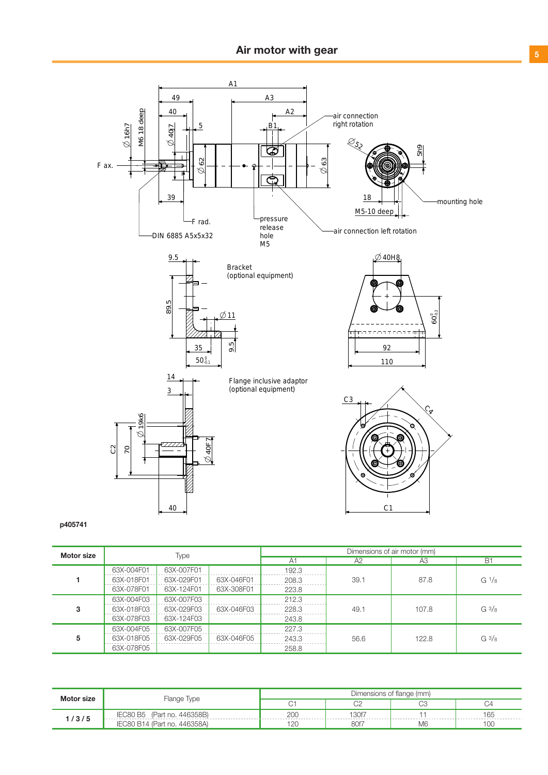

#### p405741

| Motor size |            | Type       |            |                | Dimensions of air motor (mm) |       |                   |  |  |
|------------|------------|------------|------------|----------------|------------------------------|-------|-------------------|--|--|
|            |            |            |            | A <sub>1</sub> | A2                           | A3    | <b>B1</b>         |  |  |
|            | 63X-004F01 | 63X-007F01 |            | 192.3          |                              |       |                   |  |  |
|            | 63X-018F01 | 63X-029F01 | 63X-046F01 | 208.3          | 39.1                         | 87.8  | G <sup>1</sup> /8 |  |  |
|            | 63X-078F01 | 63X-124F01 | 63X-308F01 | 223.8          |                              |       |                   |  |  |
|            | 63X-004F03 | 63X-007F03 |            | 212.3          |                              |       |                   |  |  |
| 3          | 63X-018F03 | 63X-029F03 | 63X-046F03 | 228.3          | 49.1                         | 107.8 | G <sup>3</sup> /8 |  |  |
|            | 63X-078F03 | 63X-124F03 |            | 243.8          |                              |       |                   |  |  |
|            | 63X-004F05 | 63X-007F05 |            | 227.3          |                              |       |                   |  |  |
| 5          | 63X-018F05 | 63X-029F05 | 63X-046F05 | 243.3          | 56.6                         | 122.8 | G <sup>3</sup> /8 |  |  |
|            | 63X-078F05 |            |            | 258.8          |                              |       |                   |  |  |

|                                       | Dimensions of flange (mm) |                |    |     |  |  |
|---------------------------------------|---------------------------|----------------|----|-----|--|--|
| Motor size<br>Flange Type             | ∍                         | C <sub>2</sub> | ⌒⌒ |     |  |  |
| IEC80 B5 (Part no. 446358B)           | 200                       | 130f7          |    | 165 |  |  |
| 1/3/5<br>IEC80 B14 (Part no. 446358A) |                           | 80f7           | M6 | 100 |  |  |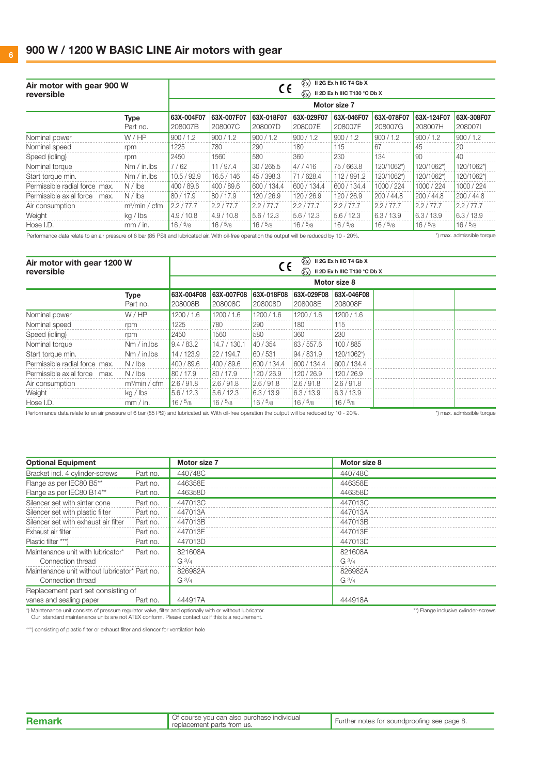| Air motor with gear 900 W<br>reversible |                         | $\langle \xi \chi \rangle$<br>II 2G Ex h IIC T4 Gb X<br>C€<br>II 2D Ex h IIIC T130 °C Db X<br>$\langle \epsilon_{\mathsf{x}} \rangle$ |                       |                       |                       |                       |                       |                       |                       |
|-----------------------------------------|-------------------------|---------------------------------------------------------------------------------------------------------------------------------------|-----------------------|-----------------------|-----------------------|-----------------------|-----------------------|-----------------------|-----------------------|
|                                         |                         |                                                                                                                                       |                       |                       |                       | Motor size 7          |                       |                       |                       |
|                                         | <b>Type</b><br>Part no. | 63X-004F07<br>208007B                                                                                                                 | 63X-007F07<br>208007C | 63X-018F07<br>208007D | 63X-029F07<br>208007E | 63X-046F07<br>208007F | 63X-078F07<br>208007G | 63X-124F07<br>208007H | 63X-308F07<br>2080071 |
| Nominal power                           | W / HP                  | 900/1.2                                                                                                                               | 900/1.2               | 900/1.2               | 900/1.2               | 900/1.2               | 900/1.2               | 900 / 1.2             | 900 / 1.2             |
| Nominal speed                           | rpm                     | 1225                                                                                                                                  | 780                   | 290                   | 180                   | 115                   | 67                    | 45                    | 20                    |
| Speed (idling)                          | rpm                     | 2450                                                                                                                                  | 1560                  | 580                   | 360                   | 230                   | 134                   | 90                    | 40                    |
| Nominal torque                          | $Nm/in.$ lbs            | 17/62                                                                                                                                 | 11/97.4               | 30 / 265.5            | 47 / 416              | 75/663.8              | 120/1062*)            | 120/1062*)            | 120/1062*)            |
| Start torque min.                       | $Nm / in$ lbs           | 10.5 / 92.9                                                                                                                           | 16.5 / 146            | 45 / 398.3            | 71/628.4              | 112 / 991.2           | 120/1062*)            | 120/1062*)            | 120/1062*)            |
| Permissible radial force max.           | $N /$ lbs               | 400 / 89.6                                                                                                                            | 400 / 89.6            | 600 / 134.4           | 600/134.4             | 600 / 134.4           | 1000 / 224            | 1000 / 224            | 1000 / 224            |
| Permissible axial force<br>max.         | $N /$ lbs               | 80/17.9                                                                                                                               | 80/17.9               | 120 / 26.9            | 120/26.9              | 120 / 26.9            | 200/44.8              | 200/44.8              | 200/44.8              |
| Air consumption                         | $m^3/m$ in / cfm        | 2.2/77.7                                                                                                                              | 2.2/77.7              | 2.2/77.7              | 2.2/77.7              | 2.2 / 77.7            | 2.2/77.7              | 2.2 / 77.7            | 2.2/77.7              |
| Weight                                  | kg / lbs                | 4.9 / 10.8                                                                                                                            | 4.9/10.8              | 5.6/12.3              | 5.6/12.3              | 5.6/12.3              | 6.3 / 13.9            | 6.3 / 13.9            | 6.3 / 13.9            |
| Hose I.D.                               | mm / in.                | 16/5/8                                                                                                                                | 16/5/8                | 16/5/8                | 16/5/8                | 16/5/8                | 16/5/8                | 16/5/8                | 16/5/8                |

Performance data relate to an air pressure of 6 bar (85 PSI) and lubricated air. With oil-free operation the output will be reduced by 10 - 20%.

\*) max. admissible torque

| Air motor with gear 1200 W<br>reversible |                         | II 2G Ex h IIC T4 Gb X<br>$\langle \xi \chi \rangle$<br>C€<br>$\langle \xi_X \rangle$ II 2D Ex h IIIC T130 °C Db X |                       |                       |                       |                       |  |  |  |
|------------------------------------------|-------------------------|--------------------------------------------------------------------------------------------------------------------|-----------------------|-----------------------|-----------------------|-----------------------|--|--|--|
|                                          |                         |                                                                                                                    |                       |                       |                       | Motor size 8          |  |  |  |
|                                          | <b>Type</b><br>Part no. | 63X-004F08<br>208008B                                                                                              | 63X-007F08<br>208008C | 63X-018F08<br>208008D | 63X-029F08<br>208008E | 63X-046F08<br>208008F |  |  |  |
| Nominal power                            | W / HP                  | 1200/1.6                                                                                                           | 1200/1.6              | 1200 / 1.6            | 1200/1.6              | 1200 / 1.6            |  |  |  |
| Nominal speed                            | rpm                     | 1225                                                                                                               | 780                   | 290                   | 180                   | 115                   |  |  |  |
| Speed (idling)                           | rpm                     | 2450                                                                                                               | 1560                  | 580                   | 360                   | 230                   |  |  |  |
| Nominal torque                           | $Nm / in$ lbs           | 9.4 / 83.2                                                                                                         | 14.7 / 130.1          | 40/354                | 63/557.6              | 100 / 885             |  |  |  |
| Start torque min.                        | $Nm / in$ lbs           | 14 / 123.9                                                                                                         | 22 / 194.7            | 60/531                | 94 / 831.9            | 120/1062*)            |  |  |  |
| Permissible radial force max.            | $N /$ lbs               | 400/89.6                                                                                                           | 400/89.6              | 600 / 134.4           | 600 / 134.4           | 600 / 134.4           |  |  |  |
| Permissible axial force<br>max.          | $N /$ lbs               | 80/17.9                                                                                                            | 80/17.9               | 120/26.9              | 120/26.9              | 120/26.9              |  |  |  |
| Air consumption                          | $m^3/m$ in / cfm        | 2.6/91.8                                                                                                           | 2.6/91.8              | 2.6/91.8              | 2.6/91.8              | 2.6/91.8              |  |  |  |
| Weight                                   | kg / lbs                | 5.6/12.3                                                                                                           | 5.6/12.3              | 6.3 / 13.9            | 6.3 / 13.9            | 6.3 / 13.9            |  |  |  |
| Hose I.D.                                | mm / in.                | 16/5/8                                                                                                             | 16/5/8                | 16/5/8                | 16/5/8                | 16/5/8                |  |  |  |

Performance data relate to an air pressure of 6 bar (85 PSI) and lubricated air. With oil-free operation the output will be reduced by 10 - 20%.

\*) max. admissible torque

| <b>Optional Equipment</b>                     |          | Motor size 7      | Motor size 8      |
|-----------------------------------------------|----------|-------------------|-------------------|
| Bracket incl. 4 cylinder-screws               | Part no. | 440748C           | 440748C           |
| Flange as per IEC80 B5**                      | Part no. | 446358E           | 446358E           |
| Flange as per IEC80 B14**                     | Part no. | 446358D           | 446358D           |
| Silencer set with sinter cone                 | Part no. | 447013C           | 447013C           |
| Silencer set with plastic filter              | Part no. | 447013A           | 447013A           |
| Silencer set with exhaust air filter          | Part no. | 447013B           | 447013B           |
| Exhaust air filter                            | Part no. | 447013E           | 447013E           |
| Plastic filter ***)                           | Part no. | 447013D           | 447013D           |
| Maintenance unit with lubricator*             | Part no. | 821608A           | 821608A           |
| Connection thread                             |          | $G_3/4$           | $G_3/4$           |
| Maintenance unit without lubricator* Part no. |          | 826982A           | 826982A           |
| Connection thread                             |          | G <sup>3</sup> /4 | G <sup>3</sup> /4 |
| Replacement part set consisting of            |          |                   |                   |
| vanes and sealing paper                       | Part no. | 444917A           | 444918A           |

\*) Maintenance unit consists of pressure regulator valve, filter and optionally with or without lubricator. Naintenance was a statement of the statement of the screws of the screws of the screws of the screws of the screws

\*\*\*) consisting of plastic filter or exhaust filter and silencer for ventilation hole

| Of course you can also purchase individual<br>.⊀emark<br>" replacement parts from us. | Further notes for soundproofing see page 8. |
|---------------------------------------------------------------------------------------|---------------------------------------------|
|---------------------------------------------------------------------------------------|---------------------------------------------|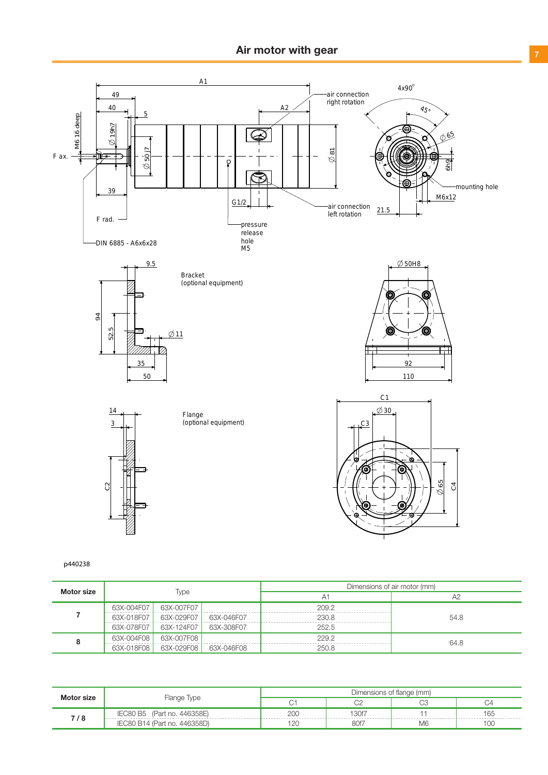

### p440238

| Motor size |            |                |                | Dimensions of air motor (mm) |      |  |  |
|------------|------------|----------------|----------------|------------------------------|------|--|--|
| Type       |            | A <sup>4</sup> | A <sup>2</sup> |                              |      |  |  |
|            | 63X-004F07 | 63X-007F07     |                | 209.2                        |      |  |  |
|            | 63X-018F07 | 63X-029F07     | 63X-046F07     | 230.8                        | 54.8 |  |  |
|            | 63X-078F07 | 63X-124F07     | 63X-308F07     | 252.5                        |      |  |  |
| 8          | 63X-004F08 | 63X-007F08     |                | 229.2                        | 64.8 |  |  |
|            | 63X-018F08 | 63X-029F08     | 63X-046F08     | 250.8                        |      |  |  |

| Motor size | Flange Type                  | Dimensions of flange (mm) |       |    |     |  |
|------------|------------------------------|---------------------------|-------|----|-----|--|
|            |                              |                           |       |    |     |  |
| 7/8        | IEC80 B5 (Part no. 446358E)  | 200                       | 130f7 |    | 165 |  |
|            | IEC80 B14 (Part no. 446358D) | 120                       | 80f7  | M6 |     |  |